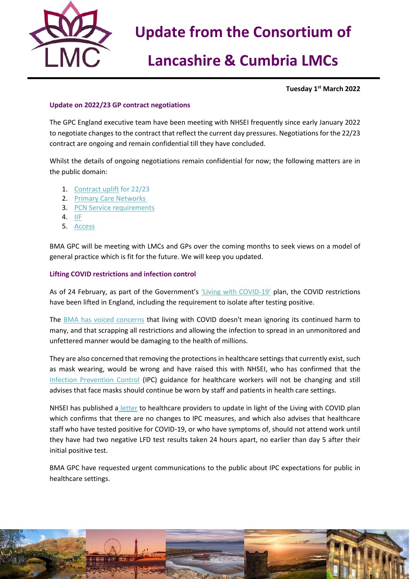

# **Update from the Consortium of**

## **Lancashire & Cumbria LMCs**

**Tuesday 1 st March 2022**

#### **Update on 2022/23 GP contract negotiations**

The GPC England executive team have been meeting with NHSEI frequently since early January 2022 to negotiate changes to the contract that reflect the current day pressures. Negotiations for the 22/23 contract are ongoing and remain confidential till they have concluded.

Whilst the details of ongoing negotiations remain confidential for now; the following matters are in the public domain:

- 1. [Contract uplift](https://www.england.nhs.uk/wp-content/uploads/2019/01/gp-contract-2019.pdf) for 22/23
- 2. [Primary Care Networks](https://www.england.nhs.uk/wp-content/uploads/2021/08/B0828-i-gp-contract-letter-pvns-21-22-and-22-23.pdf)
- 3. [PCN Service requirements](https://www.england.nhs.uk/wp-content/uploads/2021/08/B0828-ii-annex-a-pcn-plans-for-21-22-and-22-23.pdf)
- 4. [IIF](https://www.england.nhs.uk/wp-content/uploads/2021/08/B0828-iii-annex-b-investment-and-impact-fund-21-22-22-23.pdf)
- 5. [Access](https://www.england.nhs.uk/wp-content/uploads/2021/08/B0828-i-gp-contract-letter-pvns-21-22-and-22-23.pdf)

BMA GPC will be meeting with LMCs and GPs over the coming months to seek views on a model of general practice which is fit for the future. We will keep you updated.

#### **Lifting COVID restrictions and infection control**

As of 24 February, as part of the Government's ['Living with COVID](https://www.gov.uk/government/publications/covid-19-response-living-with-covid-19)-19' plan, the COVID restrictions have been lifted in England, including the requirement to isolate after testing positive.

The [BMA has voiced concerns](https://www.bma.org.uk/bma-media-centre/living-with-covid-doesn-t-mean-ignoring-it-says-bma-ahead-of-final-government-plan) that living with COVID doesn't mean ignoring its continued harm to many, and that scrapping all restrictions and allowing the infection to spread in an unmonitored and unfettered manner would be damaging to the health of millions.

They are also concerned that removing the protections in healthcare settings that currently exist, such as mask wearing, would be wrong and have raised this with NHSEI, who has confirmed that the [Infection Prevention Control](https://www.gov.uk/government/publications/wuhan-novel-coronavirus-infection-prevention-and-control) (IPC) guidance for healthcare workers will not be changing and still advises that face masks should continue be worn by staff and patients in health care settings.

NHSEI has published a [letter](https://www.england.nhs.uk/coronavirus/publication/living-with-covid-19-white-paper-update/) to healthcare providers to update in light of the Living with COVID plan which confirms that there are no changes to IPC measures, and which also advises that healthcare staff who have tested positive for COVID-19, or who have symptoms of, should not attend work until they have had two negative LFD test results taken 24 hours apart, no earlier than day 5 after their initial positive test.

BMA GPC have requested urgent communications to the public about IPC expectations for public in healthcare settings.

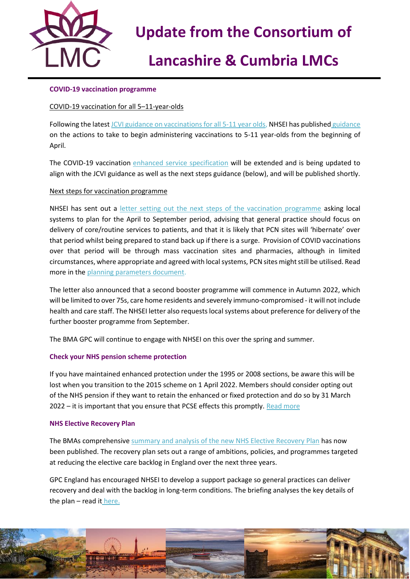

# **Update from the Consortium of**

# **Lancashire & Cumbria LMCs**

#### **COVID-19 vaccination programme**

#### COVID-19 vaccination for all 5–11-year-olds

Following the lates[t JCVI guidance on vaccinations for all 5-11 year olds,](https://www.gov.uk/government/publications/jcvi-update-on-advice-for-covid-19-vaccination-of-children-aged-5-to-11/jcvi-statement-on-vaccination-of-children-aged-5-to-11-years-old) NHSEI has published [guidance](https://www.england.nhs.uk/coronavirus/publication/updated-jcvi-advice-for-vaccinating-5-to-11-year-olds/) on the actions to take to begin administering vaccinations to 5-11 year-olds from the beginning of April.

The COVID-19 vaccination [enhanced service specification](https://www.england.nhs.uk/coronavirus/publication/enhanced-service-specification-phase-3-coronavirus-vaccination/) will be extended and is being updated to align with the JCVI guidance as well as the next steps guidance (below), and will be published shortly.

#### Next steps for vaccination programme

NHSEI has sent out a [letter setting out the next steps of the vaccination programme](https://www.england.nhs.uk/coronavirus/publication/next-steps-for-the-nhs-covid-19-vaccination-programme-planning-and-delivery/) asking local systems to plan for the April to September period, advising that general practice should focus on delivery of core/routine services to patients, and that it is likely that PCN sites will 'hibernate' over that period whilst being prepared to stand back up if there is a surge. Provision of COVID vaccinations over that period will be through mass vaccination sites and pharmacies, although in limited circumstances, where appropriate and agreed with local systems, PCN sites might still be utilised. Read more in th[e planning parameters document.](https://www.england.nhs.uk/coronavirus/wp-content/uploads/sites/52/2022/02/C1597-Planning-parameters-for-2022-23.pdf)

The letter also announced that a second booster programme will commence in Autumn 2022, which will be limited to over 75s, care home residents and severely immuno-compromised - it will not include health and care staff. The NHSEI letter also requests local systems about preference for delivery of the further booster programme from September.

The BMA GPC will continue to engage with NHSEI on this over the spring and summer.

#### **[Check your NHS pension scheme protection](https://bma-mail.org.uk/t/JVX-7OXDH-ZIK0ZJ-4OFXO2-1/c.aspx)**

If you have maintained enhanced protection under the 1995 or 2008 sections, be aware this will be lost when you transition to the 2015 scheme on 1 April 2022. Members should consider opting out of the NHS pension if they want to retain the enhanced or fixed protection and do so by 31 March 2022 – it is important that you ensure that PCSE effects this promptly. [Read more](https://www.bma.org.uk/pay-and-contracts/pensions/tax/nhs-pension-lifetime-allowance)

#### **NHS Elective Recovery Plan**

The BMAs comprehensiv[e summary and analysis of the new NHS Elective Recovery Plan](https://www.bma.org.uk/media/5082/bma-members-briefing-on-the-elective-care-recovery-plan-feb-2022.pdf) has now been published. The recovery plan sets out a range of ambitions, policies, and programmes targeted at reducing the elective care backlog in England over the next three years.

GPC England has encouraged NHSEI to develop a support package so general practices can deliver recovery and deal with the backlog in long-term conditions. The briefing analyses the key details of the plan  $-$  read it [here.](https://www.bma.org.uk/media/5082/bma-members-briefing-on-the-elective-care-recovery-plan-feb-2022.pdf)